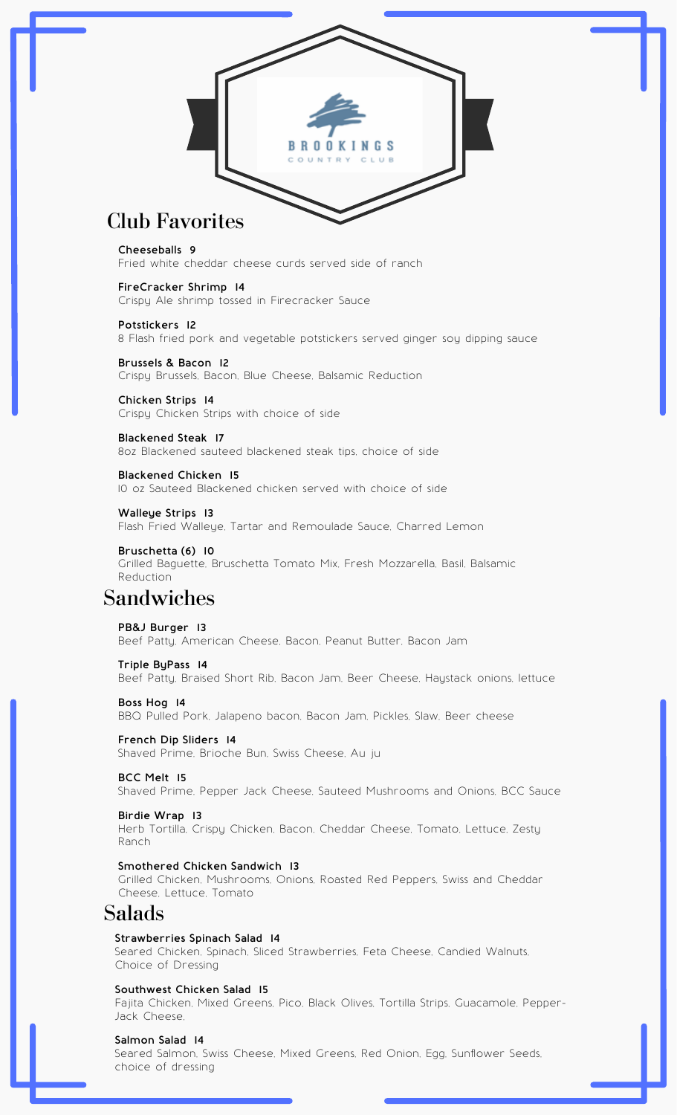

# Club Favorites

#### **Cheeseballs 9**

Fried white cheddar cheese curds served side of ranch

### **FireCracker Shrimp 14**

Crispy Ale shrimp tossed in Firecracker Sauce

#### **Potstickers 12**

8 Flash fried pork and vegetable potstickers served ginger soy dipping sauce

## **Brussels & Bacon 12** Crispy Brussels, Bacon, Blue Cheese, Balsamic Reduction

**Chicken Strips 14** Crispy Chicken Strips with choice of side

## **Blackened Steak 17**

8oz Blackened sauteed blackened steak tips, choice of side

### **Blackened Chicken 15**

10 oz Sauteed Blackened chicken served with choice of side

**Walleye Strips 13** Flash Fried Walleye, Tartar and Remoulade Sauce, Charred Lemon

**Bruschetta (6) 10** Grilled Baguette, Bruschetta Tomato Mix, Fresh Mozzarella, Basil, Balsamic Reduction

# Sandwiches

#### **PB&J Burger 13** Beef Patty, American Cheese, Bacon, Peanut Butter, Bacon Jam

### **Triple ByPass 14**

Beef Patty, Braised Short Rib, Bacon Jam, Beer Cheese, Haystack onions, lettuce

## **Boss Hog 14** BBQ Pulled Pork, Jalapeno bacon, Bacon Jam, Pickles, Slaw, Beer cheese

**French Dip Sliders 14** Shaved Prime, Brioche Bun, Swiss Cheese, Au ju

### **BCC Melt 15**

Shaved Prime, Pepper Jack Cheese, Sauteed Mushrooms and Onions, BCC Sauce

### **Birdie Wrap 13**

Herb Tortilla, Crispy Chicken, Bacon, Cheddar Cheese, Tomato, Lettuce, Zesty Ranch

### **Smothered Chicken Sandwich 13**

Grilled Chicken, Mushrooms, Onions, Roasted Red Peppers, Swiss and Cheddar Cheese, Lettuce, Tomato

# Salads

### **Strawberries Spinach Salad 14**

Seared Chicken, Spinach, Sliced Strawberries, Feta Cheese, Candied Walnuts, Choice of Dressing

### **Southwest Chicken Salad 15**

Fajita Chicken, Mixed Greens, Pico, Black Olives, Tortilla Strips, Guacamole, Pepper-Jack Cheese,

## **Salmon Salad 14**

Seared Salmon, Swiss Cheese, Mixed Greens, Red Onion, Egg, Sunflower Seeds, choice of dressing